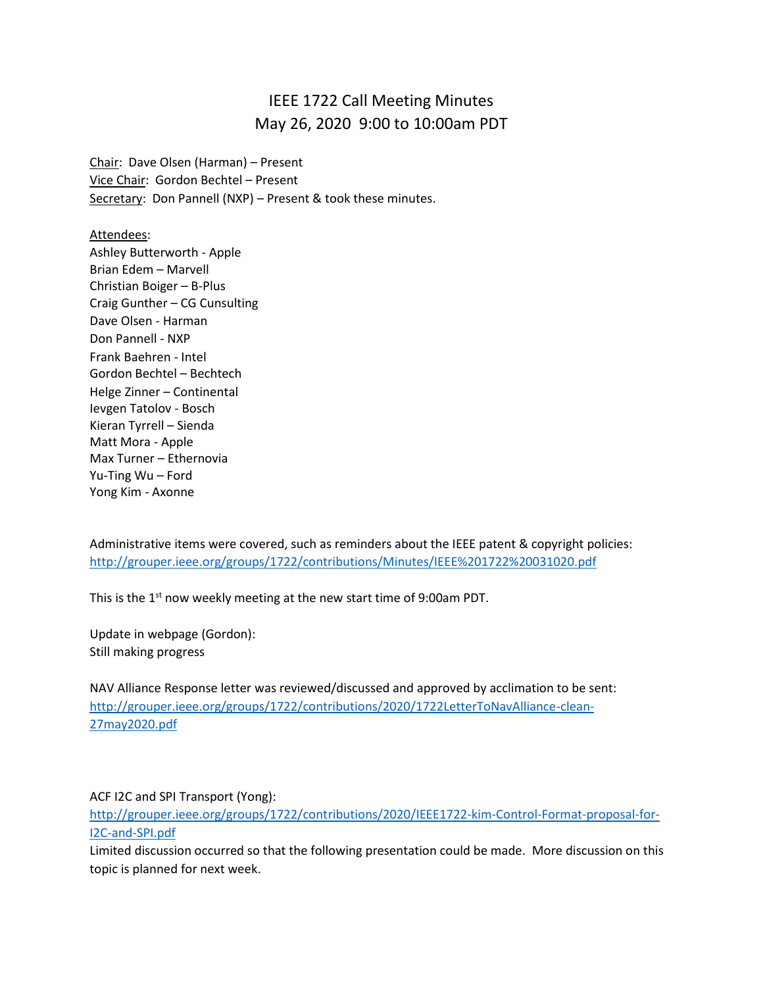## IEEE 1722 Call Meeting Minutes May 26, 2020 9:00 to 10:00am PDT

Chair: Dave Olsen (Harman) – Present Vice Chair: Gordon Bechtel – Present Secretary: Don Pannell (NXP) - Present & took these minutes.

Attendees:

Ashley Butterworth - Apple Brian Edem – Marvell Christian Boiger – B-Plus Craig Gunther – CG Cunsulting Dave Olsen - Harman Don Pannell - NXP Frank Baehren - Intel Gordon Bechtel – Bechtech Helge Zinner – Continental Ievgen Tatolov - Bosch Kieran Tyrrell – Sienda Matt Mora - Apple Max Turner – Ethernovia Yu-Ting Wu – Ford Yong Kim - Axonne

Administrative items were covered, such as reminders about the IEEE patent & copyright policies: <http://grouper.ieee.org/groups/1722/contributions/Minutes/IEEE%201722%20031020.pdf>

This is the 1<sup>st</sup> now weekly meeting at the new start time of 9:00am PDT.

Update in webpage (Gordon): Still making progress

NAV Alliance Response letter was reviewed/discussed and approved by acclimation to be sent: [http://grouper.ieee.org/groups/1722/contributions/2020/1722LetterToNavAlliance-clean-](http://grouper.ieee.org/groups/1722/contributions/2020/1722LetterToNavAlliance-clean-27may2020.pdf)[27may2020.pdf](http://grouper.ieee.org/groups/1722/contributions/2020/1722LetterToNavAlliance-clean-27may2020.pdf)

ACF I2C and SPI Transport (Yong):

[http://grouper.ieee.org/groups/1722/contributions/2020/IEEE1722-kim-Control-Format-proposal-for-](http://grouper.ieee.org/groups/1722/contributions/2020/IEEE1722-kim-Control-Format-proposal-for-I2C-and-SPI.pdf)[I2C-and-SPI.pdf](http://grouper.ieee.org/groups/1722/contributions/2020/IEEE1722-kim-Control-Format-proposal-for-I2C-and-SPI.pdf)

Limited discussion occurred so that the following presentation could be made. More discussion on this topic is planned for next week.